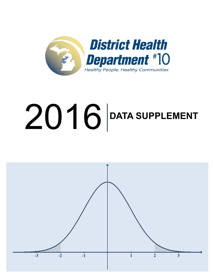

# **DATA SUPPLEMENT**

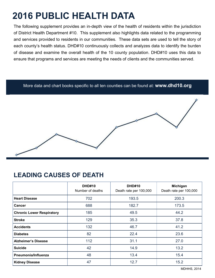# **2016 PUBLIC HEALTH DATA**

The following supplement provides an in-depth view of the health of residents within the jurisdiction of District Health Department #10. This supplement also highlights data related to the programming and services provided to residents in our communities. These data sets are used to tell the story of each county's health status. DHD#10 continuously collects and analyzes data to identify the burden of disease and examine the overall health of the 10 county population. DHD#10 uses this data to ensure that programs and services are meeting the needs of clients and the communities served.

#### More data and chart books specific to all ten counties can be found at: **www.dhd10.org**

#### **LEADING CAUSES OF DEATH**

|                                  | <b>DHD#10</b><br>Number of deaths | <b>DHD#10</b><br>Death rate per 100,000 | Michigan<br>Death rate per 100,000 |
|----------------------------------|-----------------------------------|-----------------------------------------|------------------------------------|
| <b>Heart Disease</b>             | 702                               | 193.5                                   | 200.3                              |
| <b>Cancer</b>                    | 688                               | 182.7                                   | 173.5                              |
| <b>Chronic Lower Respiratory</b> | 185                               | 49.5                                    | 44.2                               |
| <b>Stroke</b>                    | 129                               | 35.3                                    | 37.8                               |
| <b>Accidents</b>                 | 132                               | 46.7                                    | 41.2                               |
| <b>Diabetes</b>                  | 82                                | 22.4                                    | 23.6                               |
| <b>Alzheimer's Disease</b>       | 112                               | 31.1                                    | 27.0                               |
| <b>Suicide</b>                   | 42                                | 14.9                                    | 13.2                               |
| Pneumonia/Influenza              | 48                                | 13.4                                    | 15.4                               |
| <b>Kidney Disease</b>            | 47                                | 12.7                                    | 15.2                               |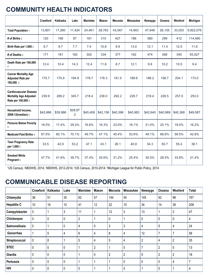## **COMMUNITY HEALTH INDICATORS**

|                                                                                      | Crawford | Kalkaska | Lake                      | <b>Manistee</b> | <b>Mason</b> | <b>Mecosta</b> | <b>Missaukee</b> | Newaygo  | Oceana   | Wexford  | Michigan  |
|--------------------------------------------------------------------------------------|----------|----------|---------------------------|-----------------|--------------|----------------|------------------|----------|----------|----------|-----------|
| Total Population 1                                                                   | 13,801   | 17,260   | 11,424                    | 24,461          | 28,783       | 43,067         | 14,903           | 47,948   | 26,105   | 33,003   | 9,922,576 |
| # of Births 2                                                                        | 120      | 168      | 87                        | 181             | 310          | 427            | 196              | 580      | 299      | 412      | 114,460   |
| Birth Rate per 1,000 2                                                               | 8.7      | 9.7      | 7.7                       | 7.4             | 10.8         | 9.9            | 13.0             | 12.1     | 11.4     | 12.5     | 11.6      |
| # of Deaths 2                                                                        | 171      | 181      | 162                       | 302             | 334          | 377            | 182              | 474      | 268      | 345      | 93,527    |
| Death Rate per 100,000<br>$\overline{2}$                                             | 12.4     | 10.4     | 14.3                      | 12.4            | 11.6         | 8.7            | 12.1             | 9.9      | 10.2     | 10.5     | 9.4       |
| <b>Cancer Mortality Age</b><br><b>Adjusted Rate per</b><br>100,000 2                 | 170.7    | 175.9    | 194.9                     | 178.7           | 176.3        | 181.5          | 189.6            | 188.2    | 158.7    | 204.1    | 173.0     |
| <b>Cardiovascular Disease</b><br><b>Mortality Age Adjusted</b><br>Rate per 100,000 3 | 239.9    | 289.2    | 345.7                     | 218.4           | 236.0        | 292.2          | 229.7            | 218.4    | 228.5    | 257.0    | 253.0     |
| Household Income,<br>2008-12(median) 4                                               | \$42,666 | \$39,986 | \$28,87<br>$\overline{2}$ | \$40,408        | \$42,156     | \$40,396       | \$40,983         | \$42,640 | \$40,969 | \$40,368 | \$49,087  |
| <b>Persons Below Poverty</b><br>5                                                    | 16.5%    | 17.4%    | 29.2%                     | 16.6%           | 16.3%        | 23.0%          | 16.1%            | 21.0%    | 20.1%    | 19.0%    | 16.2%     |
| <b>Medicaid Paid Births 5</b>                                                        | 67.5%    | 60.1%    | 70.1%                     | 49.7%           | 47.1%        | 45.4%          | 53.6%            | 49.1%    | 66.6%    | 58.5%    | 42.8%     |
| <b>Teen Pregnancy Rate</b><br>per 1,000 5                                            | 33.5     | 42.9     | 53.2                      | 47.1            | 43.1         | 26.1           | 40.9             | 34.3     | 50.7     | 55.4     | 38.1      |
| <b>Smoked While</b><br><b>Pregnant 5</b>                                             | 47.7%    | 41.6%    | 39.7%                     | 37.4%           | 25.6%        | 31.2%          | 25.4%            | 30.5%    | 28.5%    | 33.8%    | 21.4%     |

<sup>1</sup>US Census; 2MDHHS, 2014; 3MDHHS, 2012-2014; 4US Census, 2010-2014; 5Michigan League for Public Policy, 2014

#### **COMMUNICABLE DISEASE REPORTING**

|                      | Crawford     | Kalkaska     | Lake        | <b>Manistee</b> | <b>Mason</b>   | Mecosta        | <b>Missaukee</b> | Newaygo        | Oceana         | Wexford        | Total          |
|----------------------|--------------|--------------|-------------|-----------------|----------------|----------------|------------------|----------------|----------------|----------------|----------------|
| Chlamydia            | 38           | 51           | 35          | 62              | 57             | 144            | 45               | 145            | 92             | 98             | 767            |
| <b>Hepatitis C</b>   | 10           | 16           | 10          | 41              | 12             | 22             | 10               | 34             | 14             | 39             | 208            |
| Campylobacter        | 0            | 1            | 3           | 11              |                | 12             | 3                | 13             |                | $\overline{2}$ | 47             |
| Chickenpox           | $\mathbf 0$  | $\mathbf 0$  | $\mathbf 0$ | $\overline{2}$  |                | 0              |                  | 0              | 0              | $\mathbf 0$    | 4              |
| <b>Salmonellosis</b> | $\mathbf 0$  | 1            | $\mathbf 0$ | 4               | 0              | 3              | 3                | 4              | 5              | 4              | 24             |
| Gonorrhea            |              | 5            | 4           | 6               | 4              | 8              | 4                | 12             | 7              | $\overline{7}$ | 58             |
| Streptococcal        | 0            | 8            |             | 5               | 4              | 5              | 4                | $\overline{2}$ | 4              | $\overline{2}$ | 35             |
| <b>STEC</b>          | $\mathbf 0$  | $\mathbf 0$  | $\mathbf 0$ |                 | $\overline{2}$ |                | 0                | $\overline{7}$ | $\overline{2}$ | $\mathbf 0$    | 13             |
| Giardia              | $\mathbf 0$  | $\mathbf 0$  | $\mathbf 0$ |                 | $\mathbf 0$    | $\overline{2}$ | $\overline{2}$   | 9              | $\overline{2}$ | $\overline{2}$ | 18             |
| <b>Pertussis</b>     | $\mathbf 0$  | $\mathbf{0}$ | 0           |                 | 1              |                | 0                | 0              | 0              | 4              | $\overline{7}$ |
| <b>HIV</b>           | $\mathbf{0}$ | $\mathbf{0}$ | 0           | $\mathbf{0}$    | 1              |                | 0                |                | 0              |                | 4              |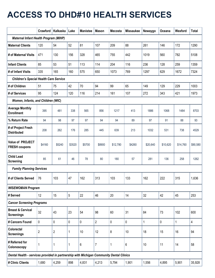## **ACCESS TO DHD#10 HEALTH SERVICES**

|                                                                                         |              | Crawford   Kalkaska | Lake         | <b>Manistee</b> | <b>Mason</b>   | <b>Mecosta</b> | <b>Missaukee</b> | Newaygo  | Oceana   | Wexford  | <b>Total</b> |
|-----------------------------------------------------------------------------------------|--------------|---------------------|--------------|-----------------|----------------|----------------|------------------|----------|----------|----------|--------------|
| <b>Maternal Infant Health Program (MIHP)</b>                                            |              |                     |              |                 |                |                |                  |          |          |          |              |
| <b>Maternal Clients</b>                                                                 | 120          | 54                  | 52           | 81              | 107            | 209            | 88               | 261      | 146      | 172      | 1290         |
| # of Maternal Visits                                                                    | 471          | 130                 | 156          | 328             | 465            | 755            | 442              | 1019     | 560      | 782      | 5108         |
| <b>Infant Clients</b>                                                                   | 85           | 53                  | 51           | 113             | 114            | 204            | 116              | 236      | 128      | 259      | 1359         |
| # of Infant Visits                                                                      | 335          | 165                 | 160          | 575             | 650            | 1073           | 769              | 1297     | 629      | 1672     | 7324         |
| <b>Children's Special Health Care Service</b>                                           |              |                     |              |                 |                |                |                  |          |          |          |              |
| # of Children                                                                           | 51           | 75                  | 42           | 70              | 94             | 99             | 65               | 149      | 129      | 229      | 1003         |
| # of Services                                                                           | 95           | 124                 | 120          | 116             | 214            | 161            | 107              | 272      | 343      | 421      | 1973         |
| Women, Infants, and Children (WIC)                                                      |              |                     |              |                 |                |                |                  |          |          |          |              |
| <b>Average Monthly</b><br><b>Enrollment</b>                                             | 395          | 481                 | 338          | 565             | 856            | 1217           | 413              | 1886     | 1068     | 1484     | 8703         |
| % Return Rate                                                                           | 94           | 98                  | 97           | 97              | 94             | 94             | 89               | 97       | 91       | 88       | 93           |
| # of Project Fresh<br><b>Distributed</b>                                                | 208          | 262                 | 176          | 285             | 445            | 639            | 213              | 1032     | 531      | 738      | 4529         |
| Value of PROJECT<br><b>FRESH coupons</b>                                                | \$4160       | \$5240              | \$3520       | \$5700          | \$8900         | \$12,780       | \$4260           | \$20,640 | \$10,620 | \$14,760 | \$90,580     |
| <b>Child Lead</b><br><b>Screening</b>                                                   | 85           | 61                  | 46           | 78              | 80             | 180            | 57               | 281      | 136      | 258      | 1262         |
| <b>Family Planning Services</b>                                                         |              |                     |              |                 |                |                |                  |          |          |          |              |
| # of Clients Served                                                                     | 76           | 103                 | 47           | 162             | 313            | 103            | 133              | 162      | 222      | 315      | 1,636        |
| <b>WISEWOMAN Program</b>                                                                |              |                     |              |                 |                |                |                  |          |          |          |              |
| # Served                                                                                | 12           | 15                  | 5            | 22              | 46             | 20             | 14               | 32       | 42       | 45       | 253          |
| <b>Cancer Screening Programs</b>                                                        |              |                     |              |                 |                |                |                  |          |          |          |              |
| <b>Breast &amp; Cervical</b><br><b>Screenings</b>                                       | 32           | 43                  | 23           | 54              | 98             | 60             | 31               | 84       | 73       | 102      | 600          |
| # Cancers Found                                                                         | $\pmb{0}$    | 0                   | 0            | 0               | $\overline{2}$ | $\mathbf 0$    | 0                | 1        | 0        | 1        | 4            |
| Colorectal<br><b>Screenings</b>                                                         | $\mathbf{2}$ | $\overline{2}$      | 1            | 10              | 12             | 8              | 10               | 18       | 15       | 16       | 94           |
| # Referred for<br>Colonoscopy                                                           | 1            | 1                   | $\mathbf{1}$ | 6               | 7              | 1              | 6                | 10       | 11       | 14       | 58           |
| Dental Health - services provided in partnership with Michigan Community Dental Clinics |              |                     |              |                 |                |                |                  |          |          |          |              |
| # Clinic Clients                                                                        | 1,680        | 4,259               | 898          | 4,831           | 4,213          | 5,794          | 1,901            | 1,556    | 4,895    | 5,901    | 35,928       |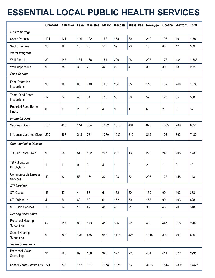## **ESSENTIAL LOCAL PUBLIC HEALTH SERVICES**

|                                      | Crawford | Kalkaska | Lake           | <b>Manistee</b> | <b>Mason</b> | Mecosta | <b>Missaukee</b> | Newaygo        | Oceana       | Wexford | <b>Total</b> |
|--------------------------------------|----------|----------|----------------|-----------------|--------------|---------|------------------|----------------|--------------|---------|--------------|
| <b>Onsite Sewage</b>                 |          |          |                |                 |              |         |                  |                |              |         |              |
| Septic Permits                       | 104      | 121      | 116            | 132             | 153          | 158     | 60               | 242            | 197          | 101     | 1,384        |
| Septic Failures                      | 28       | 38       | 16             | 20              | 52           | 59      | 23               | 13             | 68           | 42      | 359          |
| <b>Water Program</b>                 |          |          |                |                 |              |         |                  |                |              |         |              |
| <b>Well Permits</b>                  | 89       | 145      | 134            | 136             | 154          | 226     | 98               | 297            | 172          | 134     | 1,585        |
| Well Inspections                     | 9        | 35       | 30             | 23              | 42           | 22      | 4                | 35             | 39           | 13      | 252          |
| <b>Food Service</b>                  |          |          |                |                 |              |         |                  |                |              |         |              |
| <b>Food Operation</b><br>Inspections | 90       | 86       | 80             | 219             | 188          | 284     | 65               | 146            | 132          | 248     | 1,538        |
| Temp Food Booth<br>Inspections       | 17       | 24       | 48             | 61              | 110          | 58      | 30               | 52             | 123          | 65      | 588          |
| Reported Food Borne<br>Illness       | 0        | 0        | $\overline{c}$ | 10              | 4            | 9       | 1                | 6              | $\mathbf{2}$ | 3       | 37           |
| <b>Immunizations</b>                 |          |          |                |                 |              |         |                  |                |              |         |              |
| Vaccines Given                       | 539      | 423      | 114            | 834             | 1892         | 1313    | 494              | 875            | 1365         | 709     | 8558         |
| Influenza Vaccines Given             | 290      | 687      | 218            | 731             | 1070         | 1089    | 612              | 812            | 1081         | 893     | 7483         |
| <b>Communicable Disease</b>          |          |          |                |                 |              |         |                  |                |              |         |              |
| TB Skin Tests Given                  | 95       | 58       | 54             | 192             | 267          | 267     | 139              | 220            | 242          | 205     | 1739         |
| TB Patients on<br>Prophylaxis        | 1        | 1        | $\mathbf 0$    | 0               | 4            | 1       | 0                | $\overline{2}$ | 1            | 3       | 13           |
| Communicable Disease<br>Services     | 49       | 82       | 53             | 134             | 82           | 198     | 72               | 226            | 127          | 158     | 1181         |
| <b>STI Services</b>                  |          |          |                |                 |              |         |                  |                |              |         |              |
| STI Cases                            | 43       | 57       | 41             | 68              | 61           | 152     | 50               | 159            | 99           | 103     | 833          |
| STI Follow Up                        | 41       | 56       | 40             | 68              | 61           | 152     | 50               | 158            | 99           | 103     | 828          |
| <b>STI Clinic Services</b>           | 16       | 14       | 13             | 42              | 48           | 46      | 21               | 35             | 43           | 70      | 348          |
| <b>Hearing Screenings</b>            |          |          |                |                 |              |         |                  |                |              |         |              |
| Preschool Hearing<br>Screenings      | 69       | 117      | 88             | 173             | 416          | 356     | 226              | 400            | 447          | 615     | 2907         |
| School Hearing<br>Screenings         | 9        | 343      | 126            | 475             | 958          | 1118    | 426              | 1814           | 899          | 791     | 6959         |
| <b>Vision Screenings</b>             |          |          |                |                 |              |         |                  |                |              |         |              |
| Preschool Vision<br>Screenings       | 94       | 165      | 69             | 168             | 395          | 377     | 226              | 404            | 411          | 622     | 2931         |
| <b>School Vision Screenings</b>      | 274      | 833      | 162            | 1378            | 1978         | 1928    | 831              | 3196           | 1543         | 2303    | 14426        |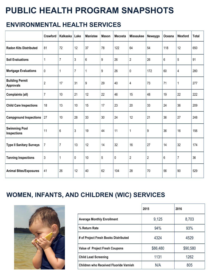## **PUBLIC HEALTH PROGRAM SNAPSHOTS**

### **ENVIRONMENTAL HEALTH SERVICES**

|                                            | Crawford       | Kalkaska       | Lake           | <b>Manistee</b> | <b>Mason</b> | Mecosta | <b>Missaukee</b> | Newaygo        | Oceana | Wexford        | <b>Total</b> |
|--------------------------------------------|----------------|----------------|----------------|-----------------|--------------|---------|------------------|----------------|--------|----------------|--------------|
| <b>Radon Kits Distributed</b>              | 81             | 72             | 12             | 37              | 78           | 122     | 64               | 54             | 118    | 12             | 650          |
| <b>Soil Evaluations</b>                    | 1              | $\overline{7}$ | $\mathfrak{Z}$ | 6               | 9            | 26      | $\overline{2}$   | 26             | 6      | 5              | 91           |
| <b>Mortgage Evaluations</b>                | $\pmb{0}$      | 1              | $\overline{7}$ | 1               | 9            | 26      | 0                | 172            | 60     | 4              | 280          |
| <b>Building Permit</b><br><b>Approvals</b> | $\overline{2}$ | 17             | 31             | 9               | 29           | 40      | 4                | 73             | 71     | 1              | 277          |
| Complaints (all)                           | $\overline{7}$ | 10             | 21             | 12              | 22           | 46      | 15               | 48             | 19     | 22             | 222          |
| <b>Child Care Inspections</b>              | 18             | 13             | 10             | 15              | 17           | 23      | 20               | 33             | 24     | 36             | 209          |
| <b>Campground Inspections</b>              | 27             | 10             | 28             | 33              | 30           | 24      | 12               | 21             | 36     | 27             | 248          |
| <b>Swimming Pool</b><br>Inspections        | 11             | 6              | $\mathfrak{Z}$ | 19              | 44           | 11      | 1                | 9              | 36     | 16             | 156          |
| <b>Type II Sanitary Surveys</b>            | $\overline{7}$ | 7              | 13             | 12              | 14           | 32      | 16               | 27             | 14     | 32             | 174          |
| <b>Tanning Inspections</b>                 | $\mathfrak{Z}$ | 1              | $\mathbf 0$    | 10              | 5            | 0       | $\mathbf{2}$     | $\overline{2}$ | 6      | $\overline{7}$ | 36           |
| <b>Animal Bites/Exposures</b>              | 41             | 26             | 12             | 40              | 62           | 104     | 28               | 70             | 56     | 90             | 529          |

## **WOMEN, INFANTS, AND CHILDREN (WIC) SERVICES**



|                                               | 2015     | 2016     |
|-----------------------------------------------|----------|----------|
| <b>Average Monthly Enrollment</b>             | 9,125    | 8,703    |
| % Return Rate                                 | 94%      | 93%      |
| # of Project Fresh Books Distributed          | 4324     | 4529     |
| <b>Value of Project Fresh Coupons</b>         | \$86,480 | \$90,580 |
| <b>Child Lead Screening</b>                   | 1131     | 1262     |
| <b>Children who Received Fluoride Varnish</b> | N/A      | 805      |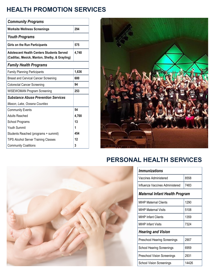## **HEALTH PROMOTION SERVICES**

| <b>Community Programs</b>                                                                          |       |  |  |  |  |  |
|----------------------------------------------------------------------------------------------------|-------|--|--|--|--|--|
| <b>Worksite Wellness Screenings</b>                                                                | 294   |  |  |  |  |  |
| <b>Youth Programs</b>                                                                              |       |  |  |  |  |  |
| Girls on the Run Participants                                                                      | 575   |  |  |  |  |  |
| <b>Adolescent Health Centers Students Served</b><br>(Cadillac, Mesick, Manton, Shelby, & Grayling) | 4,748 |  |  |  |  |  |
| <b>Family Health Programs</b>                                                                      |       |  |  |  |  |  |
| <b>Family Planning Participants</b>                                                                | 1,636 |  |  |  |  |  |
| <b>Breast and Cervical Cancer Screening</b>                                                        | 600   |  |  |  |  |  |
| <b>Colorectal Cancer Screening</b>                                                                 | 94    |  |  |  |  |  |
| <b>WISEWOMAN Program Screening</b>                                                                 | 253   |  |  |  |  |  |
| <b>Substance Abuse Prevention Services</b>                                                         |       |  |  |  |  |  |
| Mason, Lake, Oceana Counties                                                                       |       |  |  |  |  |  |
| <b>Community Events</b>                                                                            | 54    |  |  |  |  |  |
| <b>Adults Reached</b>                                                                              | 4,700 |  |  |  |  |  |
| School Programs                                                                                    | 13    |  |  |  |  |  |
| Youth Summit                                                                                       | 1     |  |  |  |  |  |
| Students Reached (programs + summit)                                                               | 454   |  |  |  |  |  |
| <b>TiPS Alcohol Server Training Classes</b>                                                        | 12    |  |  |  |  |  |
| <b>Community Coalitions</b>                                                                        | 3     |  |  |  |  |  |



## **PERSONAL HEALTH SERVICES**



| <i><b>Immunizations</b></i>         |       |  |  |  |  |  |  |  |  |
|-------------------------------------|-------|--|--|--|--|--|--|--|--|
| Vaccines Administered               | 8558  |  |  |  |  |  |  |  |  |
| Influenza Vaccines Administered     | 7483  |  |  |  |  |  |  |  |  |
| Maternal Infant Health Program      |       |  |  |  |  |  |  |  |  |
| <b>MIHP Maternal Clients</b>        | 1290  |  |  |  |  |  |  |  |  |
| MIHP Maternal Visits                | 5108  |  |  |  |  |  |  |  |  |
| <b>MIHP Infant Clients</b>          | 1359  |  |  |  |  |  |  |  |  |
| <b>MIHP Infant Visits</b>           | 7324  |  |  |  |  |  |  |  |  |
| <b>Hearing and Vision</b>           |       |  |  |  |  |  |  |  |  |
| <b>Preschool Hearing Screenings</b> | 2907  |  |  |  |  |  |  |  |  |
| <b>School Hearing Screenings</b>    | 6959  |  |  |  |  |  |  |  |  |
| <b>Preschool Vision Screenings</b>  | 2931  |  |  |  |  |  |  |  |  |
| <b>School Vision Screenings</b>     | 14426 |  |  |  |  |  |  |  |  |